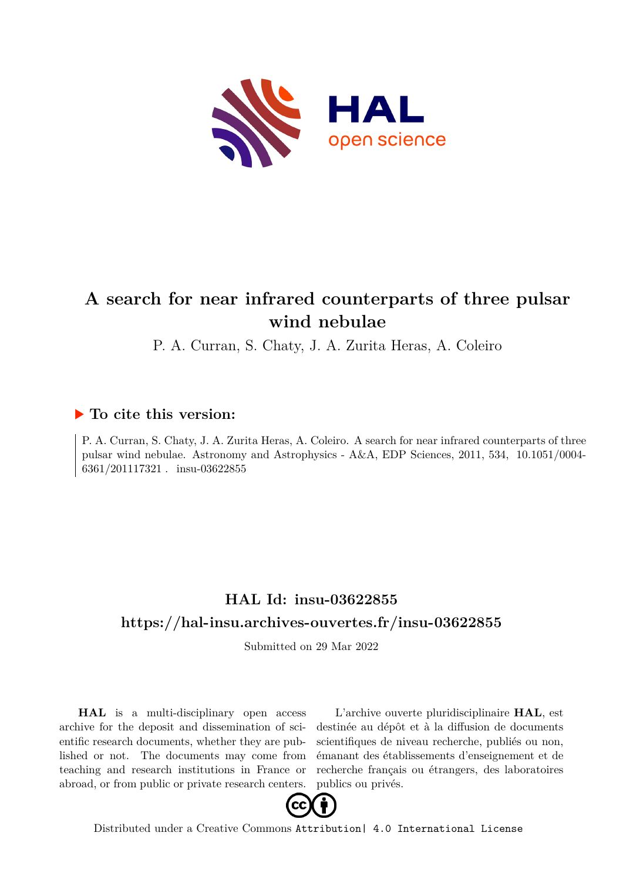

# **A search for near infrared counterparts of three pulsar wind nebulae**

P. A. Curran, S. Chaty, J. A. Zurita Heras, A. Coleiro

## **To cite this version:**

P. A. Curran, S. Chaty, J. A. Zurita Heras, A. Coleiro. A search for near infrared counterparts of three pulsar wind nebulae. Astronomy and Astrophysics -  $A&A$ , EDP Sciences, 2011, 534, 10.1051/0004-6361/201117321 . insu-03622855

# **HAL Id: insu-03622855 <https://hal-insu.archives-ouvertes.fr/insu-03622855>**

Submitted on 29 Mar 2022

**HAL** is a multi-disciplinary open access archive for the deposit and dissemination of scientific research documents, whether they are published or not. The documents may come from teaching and research institutions in France or abroad, or from public or private research centers.

L'archive ouverte pluridisciplinaire **HAL**, est destinée au dépôt et à la diffusion de documents scientifiques de niveau recherche, publiés ou non, émanant des établissements d'enseignement et de recherche français ou étrangers, des laboratoires publics ou privés.



Distributed under a Creative Commons [Attribution| 4.0 International License](http://creativecommons.org/licenses/by/4.0/)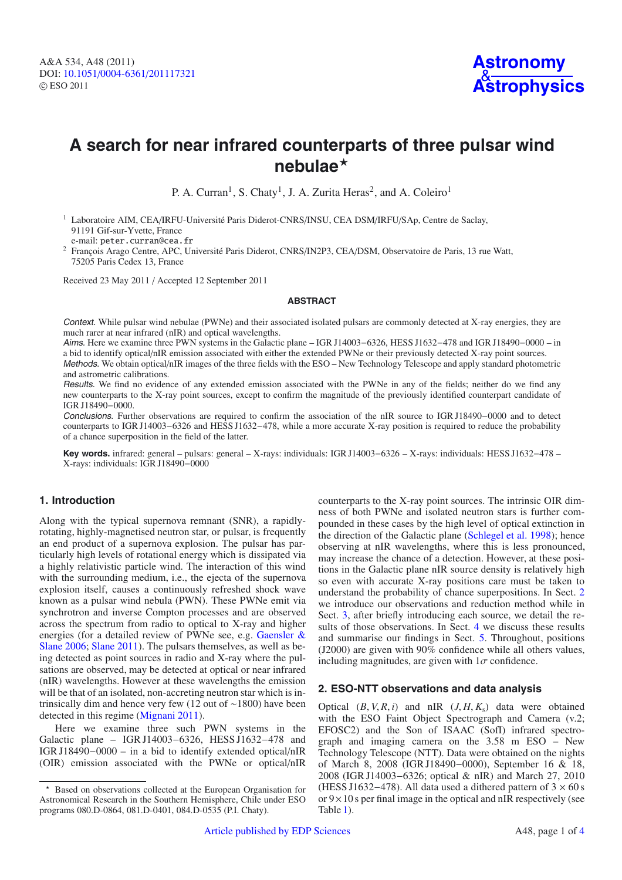# **A search for near infrared counterparts of three pulsar wind nebulae**-

P. A. Curran<sup>1</sup>, S. Chaty<sup>1</sup>, J. A. Zurita Heras<sup>2</sup>, and A. Coleiro<sup>1</sup>

<sup>1</sup> Laboratoire AIM, CEA/IRFU-Université Paris Diderot-CNRS/INSU, CEA DSM/IRFU/SAp, Centre de Saclay, 91191 Gif-sur-Yvette, France

e-mail: peter.curran@cea.fr

<sup>2</sup> François Arago Centre, APC, Université Paris Diderot, CNRS/IN2P3, CEA/DSM, Observatoire de Paris, 13 rue Watt, 75205 Paris Cedex 13, France

Received 23 May 2011 / Accepted 12 September 2011

#### **ABSTRACT**

Context. While pulsar wind nebulae (PWNe) and their associated isolated pulsars are commonly detected at X-ray energies, they are much rarer at near infrared (nIR) and optical wavelengths.

Aims. Here we examine three PWN systems in the Galactic plane – IGR J14003−6326, HESS J1632−478 and IGR J18490−0000 – in a bid to identify optical/nIR emission associated with either the extended PWNe or their previously detected X-ray point sources. Methods. We obtain optical/nIR images of the three fields with the ESO – New Technology Telescope and apply standard photometric

and astrometric calibrations. Results. We find no evidence of any extended emission associated with the PWNe in any of the fields; neither do we find any

new counterparts to the X-ray point sources, except to confirm the magnitude of the previously identified counterpart candidate of IGR J18490−0000.

Conclusions. Further observations are required to confirm the association of the nIR source to IGR J18490−0000 and to detect counterparts to IGR J14003−6326 and HESS J1632−478, while a more accurate X-ray position is required to reduce the probability of a chance superposition in the field of the latter.

**Key words.** infrared: general – pulsars: general – X-rays: individuals: IGR J14003−6326 – X-rays: individuals: HESS J1632−478 – X-rays: individuals: IGR J18490−0000

### **1. Introduction**

Along with the typical supernova remnant (SNR), a rapidlyrotating, highly-magnetised neutron star, or pulsar, is frequently an end product of a supernova explosion. The pulsar has particularly high levels of rotational energy which is dissipated via a highly relativistic particle wind. The interaction of this wind with the surrounding medium, i.e., the ejecta of the supernova explosion itself, causes a continuously refreshed shock wave known as a pulsar wind nebula (PWN). These PWNe emit via synchrotron and inverse Compton processes and are observed across the spectrum from radio to optical to X-ray and higher energies (for a detailed review of PWNe see, e.g. Gaensler & Slane 2006; Slane 2011). The pulsars themselves, as well as being detected as point sources in radio and X-ray where the pulsations are observed, may be detected at optical or near infrared (nIR) wavelengths. However at these wavelengths the emission will be that of an isolated, non-accreting neutron star which is intrinsically dim and hence very few (12 out of ∼1800) have been detected in this regime (Mignani 2011).

Here we examine three such PWN systems in the Galactic plane – IGR J14003−6326, HESS J1632−478 and IGR J18490−0000 – in a bid to identify extended optical/nIR (OIR) emission associated with the PWNe or optical/nIR counterparts to the X-ray point sources. The intrinsic OIR dimness of both PWNe and isolated neutron stars is further compounded in these cases by the high level of optical extinction in the direction of the Galactic plane (Schlegel et al. 1998); hence observing at nIR wavelengths, where this is less pronounced, may increase the chance of a detection. However, at these positions in the Galactic plane nIR source density is relatively high so even with accurate X-ray positions care must be taken to understand the probability of chance superpositions. In Sect. 2 we introduce our observations and reduction method while in Sect. 3, after briefly introducing each source, we detail the results of those observations. In Sect. 4 we discuss these results and summarise our findings in Sect. 5. Throughout, positions (J2000) are given with 90% confidence while all others values, including magnitudes, are given with  $1\sigma$  confidence.

### **2. ESO-NTT observations and data analysis**

Optical  $(B, V, R, i)$  and nIR  $(J, H, K_s)$  data were obtained with the ESO Faint Object Spectrograph and Camera (v.2; EFOSC2) and the Son of ISAAC (SofI) infrared spectrograph and imaging camera on the 3.58 m ESO – New Technology Telescope (NTT). Data were obtained on the nights of March 8, 2008 (IGR J18490−0000), September 16 & 18, 2008 (IGR J14003−6326; optical & nIR) and March 27, 2010 (HESS J1632–478). All data used a dithered pattern of  $3 \times 60$  s or  $9 \times 10$  s per final image in the optical and nIR respectively (see Table 1).

<sup>-</sup> Based on observations collected at the European Organisation for Astronomical Research in the Southern Hemisphere, Chile under ESO programs 080.D-0864, 081.D-0401, 084.D-0535 (P.I. Chaty).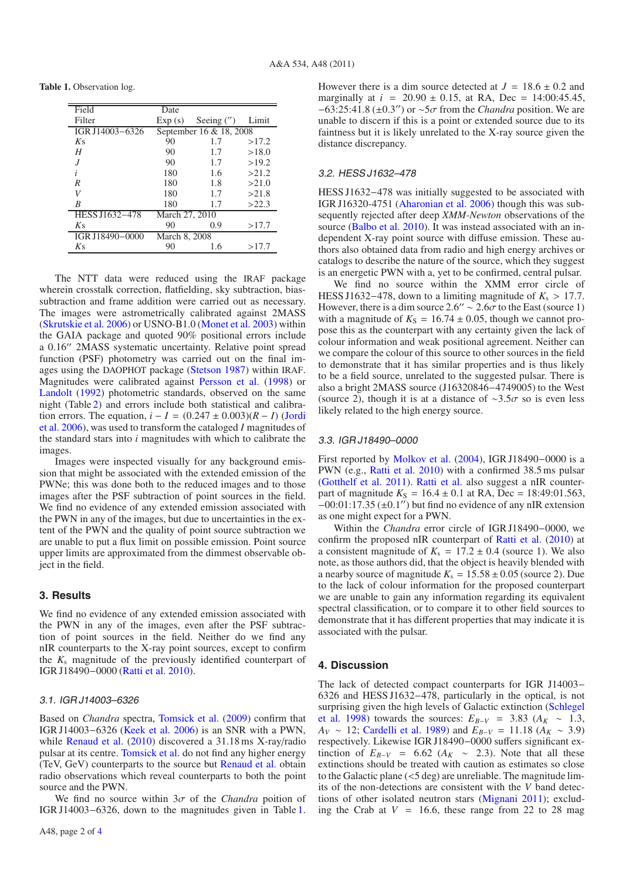**Table 1.** Observation log.

| Field           | Date                    |               |       |
|-----------------|-------------------------|---------------|-------|
| Filter          | Exp(s)                  | Seeing $('')$ | Limit |
| IGR J14003-6326 | September 16 & 18, 2008 |               |       |
| $K_{S}$         | 90                      | 1.7           | >17.2 |
| H               | 90                      | 1.7           | >18.0 |
|                 | 90                      | 1.7           | >19.2 |
| $\dot{i}$       | 180                     | 1.6           | >21.2 |
| R               | 180                     | 1.8           | >21.0 |
| V               | 180                     | 1.7           | >21.8 |
| R               | 180                     | 1.7           | >22.3 |
| HESS J1632-478  | March 27, 2010          |               |       |
| $K_{S}$         | 90                      | 0.9           | >17.7 |
| IGR J18490-0000 | March 8, 2008           |               |       |
| $K_{S}$         | 90                      | 1.6           | >17.7 |

The NTT data were reduced using the IRAF package wherein crosstalk correction, flatfielding, sky subtraction, biassubtraction and frame addition were carried out as necessary. The images were astrometrically calibrated against 2MASS (Skrutskie et al. 2006) or USNO-B1.0 (Monet et al. 2003) within the GAIA package and quoted 90% positional errors include a 0.16" 2MASS systematic uncertainty. Relative point spread function (PSF) photometry was carried out on the final images using the DAOPHOT package (Stetson 1987) within IRAF. Magnitudes were calibrated against Persson et al. (1998) or Landolt (1992) photometric standards, observed on the same night (Table 2) and errors include both statistical and calibration errors. The equation,  $i - I = (0.247 \pm 0.003)(R - I)$  (Jordi et al. 2006), was used to transform the cataloged *I* magnitudes of the standard stars into *i* magnitudes with which to calibrate the images.

Images were inspected visually for any background emission that might be associated with the extended emission of the PWNe; this was done both to the reduced images and to those images after the PSF subtraction of point sources in the field. We find no evidence of any extended emission associated with the PWN in any of the images, but due to uncertainties in the extent of the PWN and the quality of point source subtraction we are unable to put a flux limit on possible emission. Point source upper limits are approximated from the dimmest observable object in the field.

#### **3. Results**

We find no evidence of any extended emission associated with the PWN in any of the images, even after the PSF subtraction of point sources in the field. Neither do we find any nIR counterparts to the X-ray point sources, except to confirm the *K*<sup>s</sup> magnitude of the previously identified counterpart of IGR J18490−0000 (Ratti et al. 2010).

#### 3.1. IGR J14003–6326

Based on *Chandra* spectra, Tomsick et al. (2009) confirm that IGR J14003−6326 (Keek et al. 2006) is an SNR with a PWN, while Renaud et al. (2010) discovered a 31.18 ms X-ray/radio pulsar at its centre. Tomsick et al. do not find any higher energy (TeV, GeV) counterparts to the source but Renaud et al. obtain radio observations which reveal counterparts to both the point source and the PWN.

We find no source within  $3\sigma$  of the *Chandra* poition of IGR J14003−6326, down to the magnitudes given in Table 1. However there is a dim source detected at  $J = 18.6 \pm 0.2$  and marginally at  $i = 20.90 \pm 0.15$ , at RA, Dec = 14:00:45.45, −63:25:41.8 (±0.3) or ∼5σ from the *Chandra* position. We are unable to discern if this is a point or extended source due to its faintness but it is likely unrelated to the X-ray source given the distance discrepancy.

#### 3.2. HESS J1632–478

HESS J1632–478 was initially suggested to be associated with IGR J16320-4751 (Aharonian et al. 2006) though this was subsequently rejected after deep *XMM-Newton* observations of the source (Balbo et al. 2010). It was instead associated with an independent X-ray point source with diffuse emission. These authors also obtained data from radio and high energy archives or catalogs to describe the nature of the source, which they suggest is an energetic PWN with a, yet to be confirmed, central pulsar.

We find no source within the XMM error circle of HESS J1632–478, down to a limiting magnitude of  $K_s > 17.7$ . However, there is a dim source 2.6" ~ 2.6 $\sigma$  to the East (source 1) with a magnitude of  $K_S = 16.74 \pm 0.05$ , though we cannot propose this as the counterpart with any certainty given the lack of colour information and weak positional agreement. Neither can we compare the colour of this source to other sources in the field to demonstrate that it has similar properties and is thus likely to be a field source, unrelated to the suggested pulsar. There is also a bright 2MASS source (J16320846−4749005) to the West (source 2), though it is at a distance of  $\sim$ 3.5 $\sigma$  so is even less likely related to the high energy source.

#### 3.3. IGR J18490–0000

First reported by Molkov et al. (2004), IGR J18490−0000 is a PWN (e.g., Ratti et al. 2010) with a confirmed 38.5 ms pulsar (Gotthelf et al. 2011). Ratti et al. also suggest a nIR counterpart of magnitude  $K_S = 16.4 \pm 0.1$  at RA, Dec = 18:49:01.563,  $-00:01:17.35 (\pm 0.1'')$  but find no evidence of any nIR extension as one might expect for a PWN.

Within the *Chandra* error circle of IGR J18490−0000, we confirm the proposed nIR counterpart of Ratti et al. (2010) at a consistent magnitude of  $K_s = 17.2 \pm 0.4$  (source 1). We also note, as those authors did, that the object is heavily blended with a nearby source of magnitude  $K_s = 15.58 \pm 0.05$  (source 2). Due to the lack of colour information for the proposed counterpart we are unable to gain any information regarding its equivalent spectral classification, or to compare it to other field sources to demonstrate that it has different properties that may indicate it is associated with the pulsar.

#### **4. Discussion**

The lack of detected compact counterparts for IGR J14003− 6326 and HESS J1632−478, particularly in the optical, is not surprising given the high levels of Galactic extinction (Schlegel et al. 1998) towards the sources:  $E_{B-V}$  = 3.83 ( $A_K \sim 1.3$ , *A*<sub>*V*</sub> ∼ 12; Cardelli et al. 1989) and  $E_{B-V}$  = 11.18 (*A<sub>K</sub>* ∼ 3.9) respectively. Likewise IGR J18490−0000 suffers significant extinction of  $E_{B-V}$  = 6.62 ( $A_K \sim 2.3$ ). Note that all these extinctions should be treated with caution as estimates so close to the Galactic plane (<5 deg) are unreliable. The magnitude limits of the non-detections are consistent with the *V* band detections of other isolated neutron stars (Mignani 2011); excluding the Crab at  $V = 16.6$ , these range from 22 to 28 mag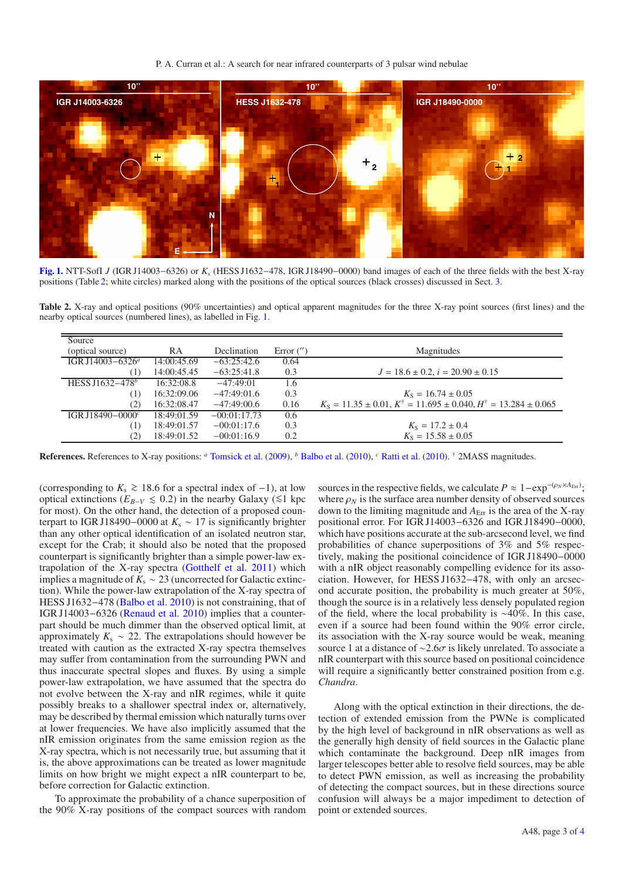P. A. Curran et al.: A search for near infrared counterparts of 3 pulsar wind nebulae



**[Fig. 1.](http://dexter.edpsciences.org/applet.php?DOI=10.1051/0004-6361/201117321&pdf_id=1)** NTT-SofI *J* (IGR J14003−6326) or *K*<sup>s</sup> (HESS J1632−478, IGR J18490−0000) band images of each of the three fields with the best X-ray positions (Table 2; white circles) marked along with the positions of the optical sources (black crosses) discussed in Sect. 3.

**Table 2.** X-ray and optical positions (90% uncertainties) and optical apparent magnitudes for the three X-ray point sources (first lines) and the nearby optical sources (numbered lines), as labelled in Fig. 1.

| Source                       |             |                |              |                                                                                              |
|------------------------------|-------------|----------------|--------------|----------------------------------------------------------------------------------------------|
| (optical source)             | <b>RA</b>   | Declination    | Error $('')$ | Magnitudes                                                                                   |
| IGR J14003-6326 <sup>a</sup> | 14:00:45.69 | $-63:25:42.6$  | 0.64         |                                                                                              |
| (T                           | 14:00:45.45 | $-63:25:41.8$  | 0.3          | $J = 18.6 \pm 0.2$ , $i = 20.90 \pm 0.15$                                                    |
| HESS J1632-478 <sup>b</sup>  | 16:32:08.8  | $-47:49:01$    | 1.6          |                                                                                              |
| (1)                          | 16:32:09.06 | $-47:49:01.6$  | 0.3          | $K_s = 16.74 \pm 0.05$                                                                       |
| (2)                          | 16:32:08.47 | $-47:49:00.6$  | 0.16         | $K_s = 11.35 \pm 0.01$ , $K^{\dagger} = 11.695 \pm 0.040$ , $H^{\dagger} = 13.284 \pm 0.065$ |
| IGR J18490-0000 $^c$         | 18:49:01.59 | $-00:01:17.73$ | 0.6          |                                                                                              |
| (1)                          | 18:49:01.57 | $-00:01:17.6$  | 0.3          | $K_{\rm S} = 17.2 \pm 0.4$                                                                   |
| (2)                          | 18:49:01.52 | $-00:01:16.9$  | 0.2          | $K_s = 15.58 \pm 0.05$                                                                       |

**References.** References to X-ray positions: *<sup>a</sup>* Tomsick et al. (2009), *<sup>b</sup>* Balbo et al. (2010), *<sup>c</sup>* Ratti et al. (2010). † 2MASS magnitudes.

(corresponding to  $K_s \ge 18.6$  for a spectral index of -1), at low optical extinctions ( $E_{B-V}$  ≤ 0.2) in the nearby Galaxy (≤1 kpc for most). On the other hand, the detection of a proposed counterpart to IGR J18490–0000 at  $K_s \sim 17$  is significantly brighter than any other optical identification of an isolated neutron star, except for the Crab; it should also be noted that the proposed counterpart is significantly brighter than a simple power-law extrapolation of the X-ray spectra (Gotthelf et al. 2011) which implies a magnitude of  $K_s \sim 23$  (uncorrected for Galactic extinction). While the power-law extrapolation of the X-ray spectra of HESS J1632−478 (Balbo et al. 2010) is not constraining, that of IGR J14003−6326 (Renaud et al. 2010) implies that a counterpart should be much dimmer than the observed optical limit, at approximately  $K_s \sim 22$ . The extrapolations should however be treated with caution as the extracted X-ray spectra themselves may suffer from contamination from the surrounding PWN and thus inaccurate spectral slopes and fluxes. By using a simple power-law extrapolation, we have assumed that the spectra do not evolve between the X-ray and nIR regimes, while it quite possibly breaks to a shallower spectral index or, alternatively, may be described by thermal emission which naturally turns over at lower frequencies. We have also implicitly assumed that the nIR emission originates from the same emission region as the X-ray spectra, which is not necessarily true, but assuming that it is, the above approximations can be treated as lower magnitude limits on how bright we might expect a nIR counterpart to be, before correction for Galactic extinction.

To approximate the probability of a chance superposition of the 90% X-ray positions of the compact sources with random

sources in the respective fields, we calculate  $P \approx 1 - \exp^{-(\rho_N \times A_{\text{Err}})}$ ; where  $\rho_N$  is the surface area number density of observed sources down to the limiting magnitude and  $A_{\text{Err}}$  is the area of the X-ray positional error. For IGR J14003−6326 and IGR J18490−0000, which have positions accurate at the sub-arcsecond level, we find probabilities of chance superpositions of 3% and 5% respectively, making the positional coincidence of IGR J18490−0000 with a nIR object reasonably compelling evidence for its association. However, for HESS J1632−478, with only an arcsecond accurate position, the probability is much greater at 50%, though the source is in a relatively less densely populated region of the field, where the local probability is ∼40%. In this case, even if a source had been found within the 90% error circle, its association with the X-ray source would be weak, meaning source 1 at a distance of ∼2.6σ is likely unrelated. To associate a nIR counterpart with this source based on positional coincidence will require a significantly better constrained position from e.g. *Chandra*.

Along with the optical extinction in their directions, the detection of extended emission from the PWNe is complicated by the high level of background in nIR observations as well as the generally high density of field sources in the Galactic plane which contaminate the background. Deep nIR images from larger telescopes better able to resolve field sources, may be able to detect PWN emission, as well as increasing the probability of detecting the compact sources, but in these directions source confusion will always be a major impediment to detection of point or extended sources.